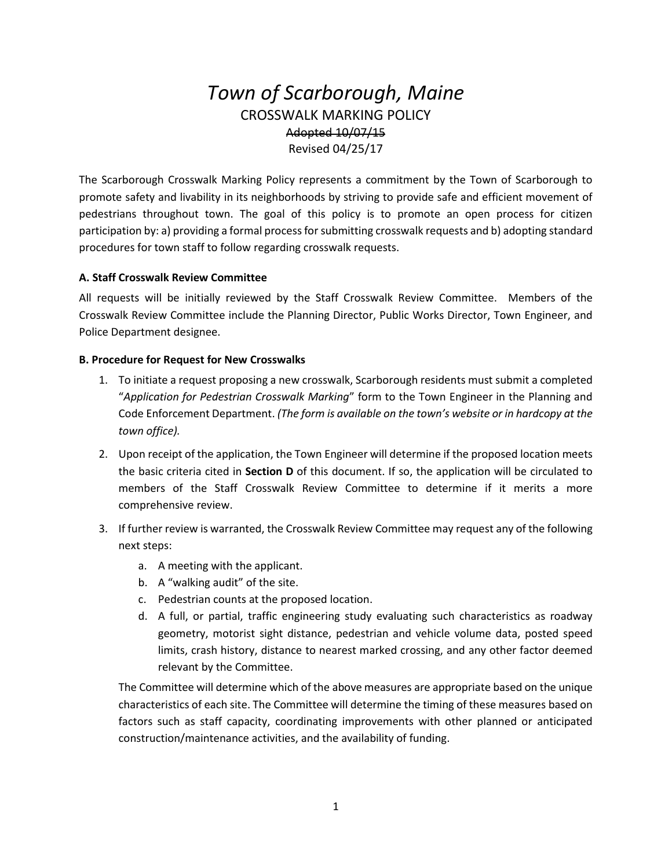# *Town of Scarborough, Maine* CROSSWALK MARKING POLICY Adopted 10/07/15 Revised 04/25/17

The Scarborough Crosswalk Marking Policy represents a commitment by the Town of Scarborough to promote safety and livability in its neighborhoods by striving to provide safe and efficient movement of pedestrians throughout town. The goal of this policy is to promote an open process for citizen participation by: a) providing a formal process for submitting crosswalk requests and b) adopting standard procedures for town staff to follow regarding crosswalk requests.

### **A. Staff Crosswalk Review Committee**

All requests will be initially reviewed by the Staff Crosswalk Review Committee. Members of the Crosswalk Review Committee include the Planning Director, Public Works Director, Town Engineer, and Police Department designee.

#### **B. Procedure for Request for New Crosswalks**

- 1. To initiate a request proposing a new crosswalk, Scarborough residents must submit a completed "*Application for Pedestrian Crosswalk Marking*" form to the Town Engineer in the Planning and Code Enforcement Department. *(The form is available on the town's website or in hardcopy at the town office).*
- 2. Upon receipt of the application, the Town Engineer will determine if the proposed location meets the basic criteria cited in **Section D** of this document. If so, the application will be circulated to members of the Staff Crosswalk Review Committee to determine if it merits a more comprehensive review.
- 3. If further review is warranted, the Crosswalk Review Committee may request any of the following next steps:
	- a. A meeting with the applicant.
	- b. A "walking audit" of the site.
	- c. Pedestrian counts at the proposed location.
	- d. A full, or partial, traffic engineering study evaluating such characteristics as roadway geometry, motorist sight distance, pedestrian and vehicle volume data, posted speed limits, crash history, distance to nearest marked crossing, and any other factor deemed relevant by the Committee.

The Committee will determine which of the above measures are appropriate based on the unique characteristics of each site. The Committee will determine the timing of these measures based on factors such as staff capacity, coordinating improvements with other planned or anticipated construction/maintenance activities, and the availability of funding.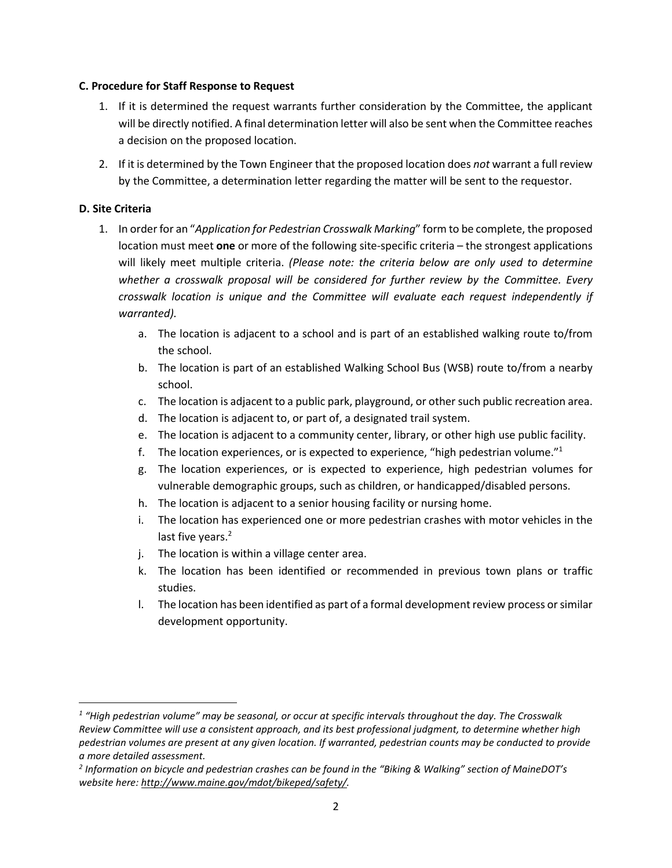#### **C. Procedure for Staff Response to Request**

- 1. If it is determined the request warrants further consideration by the Committee, the applicant will be directly notified. A final determination letter will also be sent when the Committee reaches a decision on the proposed location.
- 2. If it is determined by the Town Engineer that the proposed location does *not* warrant a full review by the Committee, a determination letter regarding the matter will be sent to the requestor.

## **D. Site Criteria**

 $\overline{a}$ 

- 1. In order for an "*Application for Pedestrian Crosswalk Marking*" form to be complete, the proposed location must meet **one** or more of the following site-specific criteria – the strongest applications will likely meet multiple criteria. *(Please note: the criteria below are only used to determine whether a crosswalk proposal will be considered for further review by the Committee. Every crosswalk location is unique and the Committee will evaluate each request independently if warranted).*
	- a. The location is adjacent to a school and is part of an established walking route to/from the school.
	- b. The location is part of an established Walking School Bus (WSB) route to/from a nearby school.
	- c. The location is adjacent to a public park, playground, or other such public recreation area.
	- d. The location is adjacent to, or part of, a designated trail system.
	- e. The location is adjacent to a community center, library, or other high use public facility.
	- f. The location experiences, or is expected to experience, "high pedestrian volume."<sup>1</sup>
	- g. The location experiences, or is expected to experience, high pedestrian volumes for vulnerable demographic groups, such as children, or handicapped/disabled persons.
	- h. The location is adjacent to a senior housing facility or nursing home.
	- i. The location has experienced one or more pedestrian crashes with motor vehicles in the last five years.<sup>2</sup>
	- j. The location is within a village center area.
	- k. The location has been identified or recommended in previous town plans or traffic studies.
	- l. The location has been identified as part of a formal development review process or similar development opportunity.

*<sup>1</sup> "High pedestrian volume" may be seasonal, or occur at specific intervals throughout the day. The Crosswalk Review Committee will use a consistent approach, and its best professional judgment, to determine whether high pedestrian volumes are present at any given location. If warranted, pedestrian counts may be conducted to provide a more detailed assessment.*

*<sup>2</sup> Information on bicycle and pedestrian crashes can be found in the "Biking & Walking" section of MaineDOT's website here[: http://www.maine.gov/mdot/bikeped/safety/.](http://www.maine.gov/mdot/bikeped/safety/)*